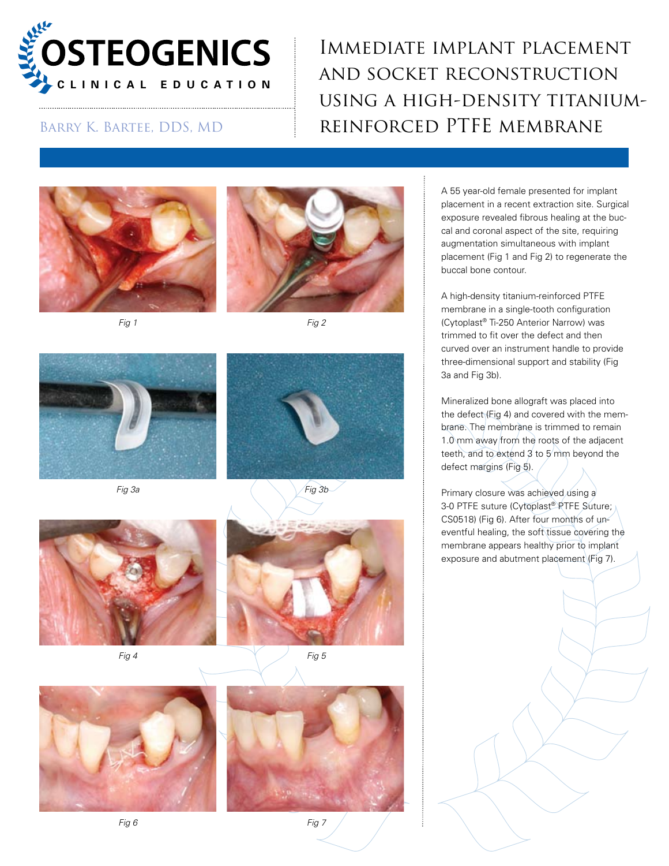

## Immediate implant placement and socket reconstruction using a high-density titanium-BARRY K. BARTEE, DDS, MD REINFORCED PTFE MEMBRANE











*Fig 3a Fig 3b*



*Fig 4 Fig 5*







A 55 year-old female presented for implant placement in a recent extraction site. Surgical exposure revealed fibrous healing at the buccal and coronal aspect of the site, requiring augmentation simultaneous with implant placement (Fig 1 and Fig 2) to regenerate the buccal bone contour.

A high-density titanium-reinforced PTFE membrane in a single-tooth configuration (Cytoplast® Ti-250 Anterior Narrow) was trimmed to fit over the defect and then curved over an instrument handle to provide three-dimensional support and stability (Fig 3a and Fig 3b).

Mineralized bone allograft was placed into the defect (Fig 4) and covered with the membrane. The membrane is trimmed to remain 1.0 mm away from the roots of the adjacent teeth, and to extend 3 to 5 mm beyond the defect margins (Fig 5).

Primary closure was achieved using a 3-0 PTFE suture (Cytoplast® PTFE Suture; CS0518) (Fig 6). After four months of uneventful healing, the soft tissue covering the membrane appears healthy prior to implant exposure and abutment placement (Fig 7).